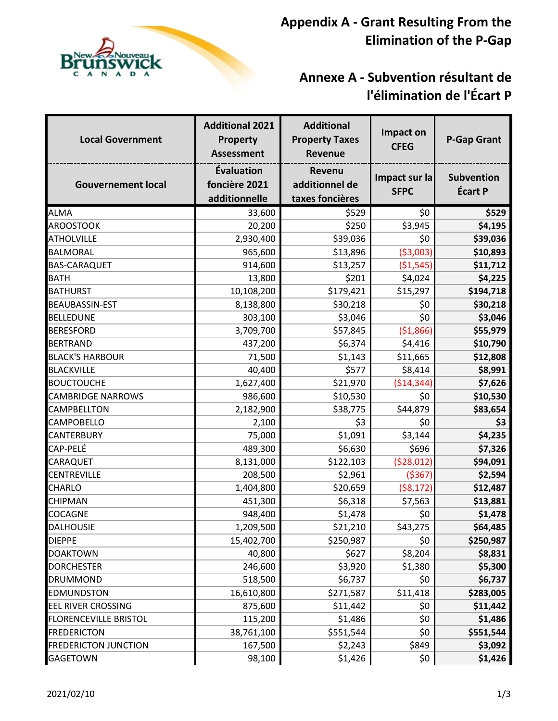

## **Annexe A - Subvention résultant de l'élimination de l'Écart P**

| <b>Local Government</b>      | <b>Additional 2021</b><br><b>Property</b><br><b>Assessment</b> | <b>Additional</b><br><b>Property Taxes</b><br><b>Revenue</b> | Impact on<br><b>CFEG</b>     | <b>P-Gap Grant</b>                  |
|------------------------------|----------------------------------------------------------------|--------------------------------------------------------------|------------------------------|-------------------------------------|
| <b>Gouvernement local</b>    | Évaluation<br>foncière 2021<br>additionnelle                   | Revenu<br>additionnel de<br>taxes foncières                  | Impact sur la<br><b>SFPC</b> | <b>Subvention</b><br><b>Écart P</b> |
| <b>ALMA</b>                  | 33,600                                                         | \$529                                                        | \$0                          | \$529                               |
| <b>AROOSTOOK</b>             | 20,200                                                         | \$250                                                        | \$3,945                      | \$4,195                             |
| <b>ATHOLVILLE</b>            | 2,930,400                                                      | \$39,036                                                     | \$0                          | \$39,036                            |
| <b>BALMORAL</b>              | 965,600                                                        | \$13,896                                                     | ( \$3,003)                   | \$10,893                            |
| <b>BAS-CARAQUET</b>          | 914,600                                                        | \$13,257                                                     | ( \$1,545)                   | \$11,712                            |
| <b>BATH</b>                  | 13,800                                                         | \$201                                                        | \$4,024                      | \$4,225                             |
| <b>BATHURST</b>              | 10,108,200                                                     | \$179,421                                                    | \$15,297                     | \$194,718                           |
| <b>BEAUBASSIN-EST</b>        | 8,138,800                                                      | \$30,218                                                     | \$0                          | \$30,218                            |
| <b>BELLEDUNE</b>             | 303,100                                                        | \$3,046                                                      | \$0                          | \$3,046                             |
| <b>BERESFORD</b>             | 3,709,700                                                      | \$57,845                                                     | ( \$1,866)                   | \$55,979                            |
| <b>BERTRAND</b>              | 437,200                                                        | \$6,374                                                      | \$4,416                      | \$10,790                            |
| <b>BLACK'S HARBOUR</b>       | 71,500                                                         | \$1,143                                                      | \$11,665                     | \$12,808                            |
| <b>BLACKVILLE</b>            | 40,400                                                         | \$577                                                        | \$8,414                      | \$8,991                             |
| <b>BOUCTOUCHE</b>            | 1,627,400                                                      | \$21,970                                                     | ( \$14, 344)                 | \$7,626                             |
| <b>CAMBRIDGE NARROWS</b>     | 986,600                                                        | \$10,530                                                     | \$0                          | \$10,530                            |
| <b>CAMPBELLTON</b>           | 2,182,900                                                      | \$38,775                                                     | \$44,879                     | \$83,654                            |
| <b>CAMPOBELLO</b>            | 2,100                                                          | \$3                                                          | \$0                          | \$3                                 |
| <b>CANTERBURY</b>            | 75,000                                                         | \$1,091                                                      | \$3,144                      | \$4,235                             |
| <b>CAP-PELÉ</b>              | 489,300                                                        | \$6,630                                                      | \$696                        | \$7,326                             |
| <b>CARAQUET</b>              | 8,131,000                                                      | \$122,103                                                    | (528, 012)                   | \$94,091                            |
| <b>CENTREVILLE</b>           | 208,500                                                        | \$2,961                                                      | ( \$367)                     | \$2,594                             |
| <b>CHARLO</b>                | 1,404,800                                                      | \$20,659                                                     | ( \$8,172)                   | \$12,487                            |
| <b>CHIPMAN</b>               | 451,300                                                        | \$6,318                                                      | \$7,563                      | \$13,881                            |
| <b>COCAGNE</b>               | 948,400                                                        | \$1,478                                                      | \$0                          | \$1,478                             |
| <b>DALHOUSIE</b>             | 1,209,500                                                      | $\overline{$}21,210$                                         | \$43,275                     | \$64,485                            |
| <b>DIEPPE</b>                | 15,402,700                                                     | \$250,987                                                    | \$0                          | \$250,987                           |
| <b>DOAKTOWN</b>              | 40,800                                                         | \$627                                                        | \$8,204                      | \$8,831                             |
| <b>DORCHESTER</b>            | 246,600                                                        | \$3,920                                                      | \$1,380                      | \$5,300                             |
| <b>DRUMMOND</b>              | 518,500                                                        | \$6,737                                                      | \$0                          | \$6,737                             |
| <b>EDMUNDSTON</b>            | 16,610,800                                                     | \$271,587                                                    | \$11,418                     | \$283,005                           |
| <b>EEL RIVER CROSSING</b>    | 875,600                                                        | \$11,442                                                     | \$0                          | \$11,442                            |
| <b>FLORENCEVILLE BRISTOL</b> | 115,200                                                        | \$1,486                                                      | \$0                          | \$1,486                             |
| <b>FREDERICTON</b>           | 38,761,100                                                     | \$551,544                                                    | \$0                          | \$551,544                           |
| <b>FREDERICTON JUNCTION</b>  | 167,500                                                        | \$2,243                                                      | \$849                        | \$3,092                             |
| <b>GAGETOWN</b>              | 98,100                                                         | \$1,426                                                      | \$0                          | \$1,426                             |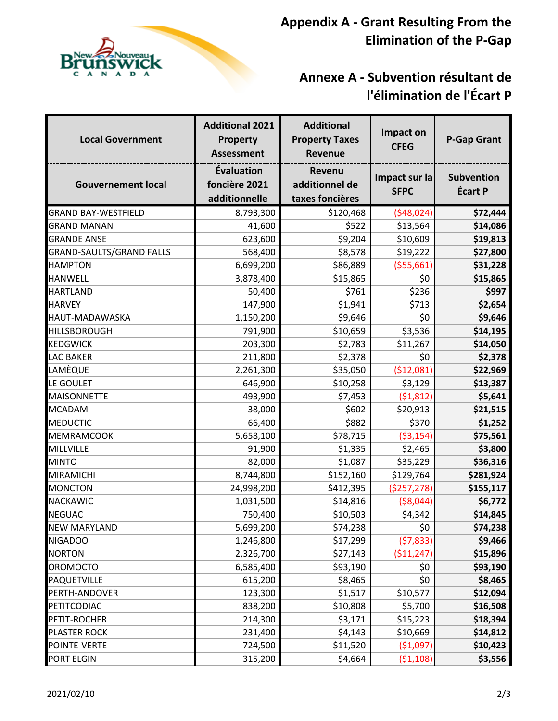

## **Annexe A - Subvention résultant de l'élimination de l'Écart P**

| <b>Local Government</b>         | <b>Additional 2021</b><br><b>Property</b><br><b>Assessment</b> | <b>Additional</b><br><b>Property Taxes</b><br>Revenue | Impact on<br><b>CFEG</b>     | <b>P-Gap Grant</b>                  |
|---------------------------------|----------------------------------------------------------------|-------------------------------------------------------|------------------------------|-------------------------------------|
| <b>Gouvernement local</b>       | Évaluation<br>foncière 2021<br>additionnelle                   | <b>Revenu</b><br>additionnel de<br>taxes foncières    | Impact sur la<br><b>SFPC</b> | <b>Subvention</b><br><b>Écart P</b> |
| <b>GRAND BAY-WESTFIELD</b>      | 8,793,300                                                      | \$120,468                                             | (548, 024)                   | \$72,444                            |
| <b>GRAND MANAN</b>              | 41,600                                                         | \$522                                                 | \$13,564                     | \$14,086                            |
| <b>GRANDE ANSE</b>              | 623,600                                                        | \$9,204                                               | \$10,609                     | \$19,813                            |
| <b>GRAND-SAULTS/GRAND FALLS</b> | 568,400                                                        | \$8,578                                               | \$19,222                     | \$27,800                            |
| <b>HAMPTON</b>                  | 6,699,200                                                      | \$86,889                                              | ( \$55,661)                  | \$31,228                            |
| <b>HANWELL</b>                  | 3,878,400                                                      | \$15,865                                              | \$0                          | \$15,865                            |
| <b>HARTLAND</b>                 | 50,400                                                         | \$761                                                 | \$236                        | \$997                               |
| <b>HARVEY</b>                   | 147,900                                                        | \$1,941                                               | \$713                        | \$2,654                             |
| HAUT-MADAWASKA                  | 1,150,200                                                      | \$9,646                                               | \$0                          | \$9,646                             |
| <b>HILLSBOROUGH</b>             | 791,900                                                        | \$10,659                                              | \$3,536                      | \$14,195                            |
| <b>KEDGWICK</b>                 | 203,300                                                        | \$2,783                                               | \$11,267                     | \$14,050                            |
| <b>LAC BAKER</b>                | 211,800                                                        | \$2,378                                               | \$0                          | \$2,378                             |
| LAMÈQUE                         | 2,261,300                                                      | \$35,050                                              | ( \$12,081)                  | \$22,969                            |
| LE GOULET                       | 646,900                                                        | \$10,258                                              | \$3,129                      | \$13,387                            |
| <b>MAISONNETTE</b>              | 493,900                                                        | \$7,453                                               | (51, 812)                    | \$5,641                             |
| <b>MCADAM</b>                   | 38,000                                                         | \$602                                                 | \$20,913                     | \$21,515                            |
| <b>MEDUCTIC</b>                 | 66,400                                                         | \$882                                                 | \$370                        | \$1,252                             |
| <b>MEMRAMCOOK</b>               | 5,658,100                                                      | \$78,715                                              | ( \$3,154)                   | \$75,561                            |
| MILLVILLE                       | 91,900                                                         | \$1,335                                               | \$2,465                      | \$3,800                             |
| <b>MINTO</b>                    | 82,000                                                         | \$1,087                                               | \$35,229                     | \$36,316                            |
| <b>MIRAMICHI</b>                | 8,744,800                                                      | \$152,160                                             | \$129,764                    | \$281,924                           |
| <b>MONCTON</b>                  | 24,998,200                                                     | \$412,395                                             | (5257, 278)                  | \$155,117                           |
| <b>NACKAWIC</b>                 | 1,031,500                                                      | \$14,816                                              | ( \$8,044)                   | \$6,772                             |
| <b>NEGUAC</b>                   | 750,400                                                        | \$10,503                                              | \$4,342                      | \$14,845                            |
| NEW MARYLAND                    | 5,699,200                                                      | \$74,238                                              | \$0                          | \$74,238                            |
| <b>NIGADOO</b>                  | 1,246,800                                                      | \$17,299                                              | (57, 833)                    | \$9,466                             |
| <b>NORTON</b>                   | 2,326,700                                                      | \$27,143                                              | (511, 247)                   | \$15,896                            |
| <b>OROMOCTO</b>                 | 6,585,400                                                      | \$93,190                                              | \$0                          | \$93,190                            |
| <b>PAQUETVILLE</b>              | 615,200                                                        | \$8,465                                               | \$0                          | \$8,465                             |
| PERTH-ANDOVER                   | 123,300                                                        | \$1,517                                               | \$10,577                     | \$12,094                            |
| PETITCODIAC                     | 838,200                                                        | \$10,808                                              | \$5,700                      | \$16,508                            |
| PETIT-ROCHER                    | 214,300                                                        | \$3,171                                               | \$15,223                     | \$18,394                            |
| <b>PLASTER ROCK</b>             | 231,400                                                        | \$4,143                                               | \$10,669                     | \$14,812                            |
| POINTE-VERTE                    | 724,500                                                        | \$11,520                                              | (\$1,097)                    | \$10,423                            |
| PORT ELGIN                      | 315,200                                                        | \$4,664                                               | (51, 108)                    | \$3,556                             |